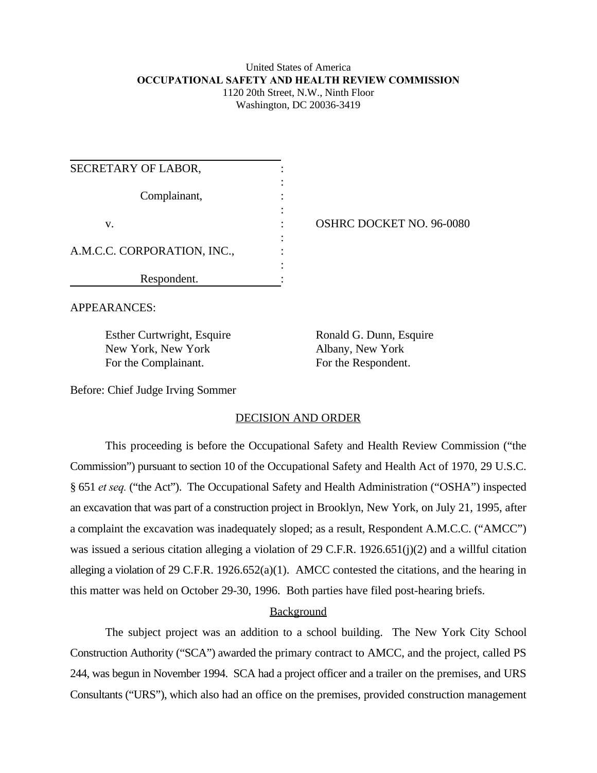## United States of America **OCCUPATIONAL SAFETY AND HEALTH REVIEW COMMISSION** 1120 20th Street, N.W., Ninth Floor Washington, DC 20036-3419

| SECRETARY OF LABOR,         |  |
|-----------------------------|--|
| Complainant,                |  |
| v.                          |  |
| A.M.C.C. CORPORATION, INC., |  |
| Respondent.                 |  |

OSHRC DOCKET NO. 96-0080

APPEARANCES:

Esther Curtwright, Esquire Ronald G. Dunn, Esquire New York, New York Albany, New York For the Complainant. For the Respondent.

Before: Chief Judge Irving Sommer

# DECISION AND ORDER

This proceeding is before the Occupational Safety and Health Review Commission ("the Commission") pursuant to section 10 of the Occupational Safety and Health Act of 1970, 29 U.S.C. § 651 *et seq.* ("the Act"). The Occupational Safety and Health Administration ("OSHA") inspected an excavation that was part of a construction project in Brooklyn, New York, on July 21, 1995, after a complaint the excavation was inadequately sloped; as a result, Respondent A.M.C.C. ("AMCC") was issued a serious citation alleging a violation of 29 C.F.R. 1926.651(j)(2) and a willful citation alleging a violation of 29 C.F.R. 1926.652(a)(1). AMCC contested the citations, and the hearing in this matter was held on October 29-30, 1996. Both parties have filed post-hearing briefs.

# **Background**

The subject project was an addition to a school building. The New York City School Construction Authority ("SCA") awarded the primary contract to AMCC, and the project, called PS 244, was begun in November 1994. SCA had a project officer and a trailer on the premises, and URS Consultants ("URS"), which also had an office on the premises, provided construction management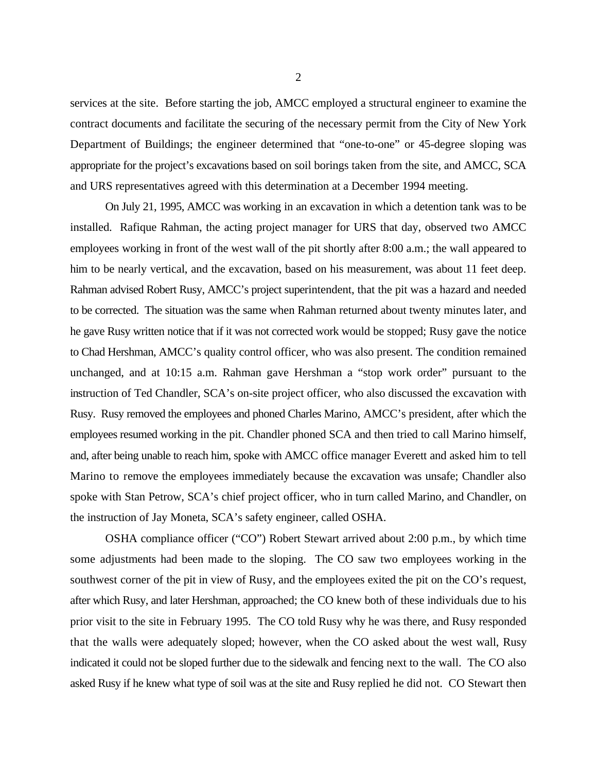services at the site. Before starting the job, AMCC employed a structural engineer to examine the contract documents and facilitate the securing of the necessary permit from the City of New York Department of Buildings; the engineer determined that "one-to-one" or 45-degree sloping was appropriate for the project's excavations based on soil borings taken from the site, and AMCC, SCA and URS representatives agreed with this determination at a December 1994 meeting.

On July 21, 1995, AMCC was working in an excavation in which a detention tank was to be installed. Rafique Rahman, the acting project manager for URS that day, observed two AMCC employees working in front of the west wall of the pit shortly after 8:00 a.m.; the wall appeared to him to be nearly vertical, and the excavation, based on his measurement, was about 11 feet deep. Rahman advised Robert Rusy, AMCC's project superintendent, that the pit was a hazard and needed to be corrected. The situation was the same when Rahman returned about twenty minutes later, and he gave Rusy written notice that if it was not corrected work would be stopped; Rusy gave the notice to Chad Hershman, AMCC's quality control officer, who was also present. The condition remained unchanged, and at 10:15 a.m. Rahman gave Hershman a "stop work order" pursuant to the instruction of Ted Chandler, SCA's on-site project officer, who also discussed the excavation with Rusy. Rusy removed the employees and phoned Charles Marino, AMCC's president, after which the employees resumed working in the pit. Chandler phoned SCA and then tried to call Marino himself, and, after being unable to reach him, spoke with AMCC office manager Everett and asked him to tell Marino to remove the employees immediately because the excavation was unsafe; Chandler also spoke with Stan Petrow, SCA's chief project officer, who in turn called Marino, and Chandler, on the instruction of Jay Moneta, SCA's safety engineer, called OSHA.

OSHA compliance officer ("CO") Robert Stewart arrived about 2:00 p.m., by which time some adjustments had been made to the sloping. The CO saw two employees working in the southwest corner of the pit in view of Rusy, and the employees exited the pit on the CO's request, after which Rusy, and later Hershman, approached; the CO knew both of these individuals due to his prior visit to the site in February 1995. The CO told Rusy why he was there, and Rusy responded that the walls were adequately sloped; however, when the CO asked about the west wall, Rusy indicated it could not be sloped further due to the sidewalk and fencing next to the wall. The CO also asked Rusy if he knew what type of soil was at the site and Rusy replied he did not. CO Stewart then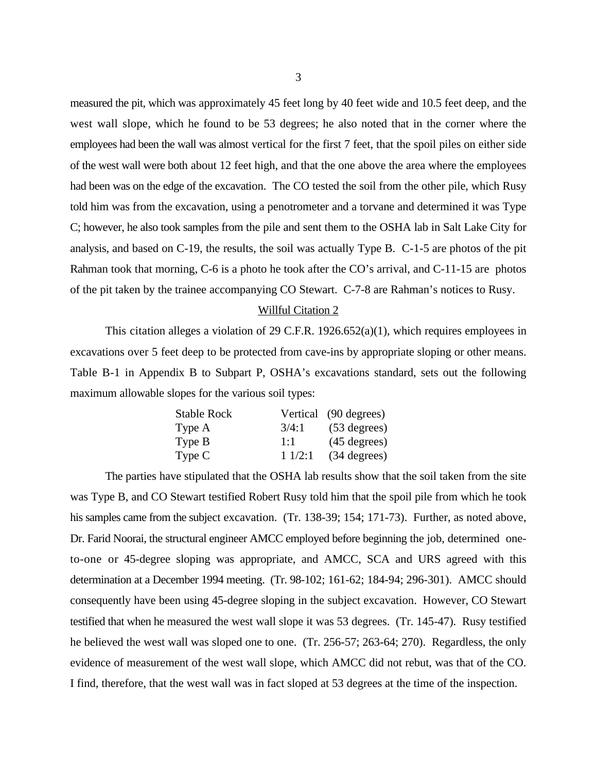measured the pit, which was approximately 45 feet long by 40 feet wide and 10.5 feet deep, and the west wall slope, which he found to be 53 degrees; he also noted that in the corner where the employees had been the wall was almost vertical for the first 7 feet, that the spoil piles on either side of the west wall were both about 12 feet high, and that the one above the area where the employees had been was on the edge of the excavation. The CO tested the soil from the other pile, which Rusy told him was from the excavation, using a penotrometer and a torvane and determined it was Type C; however, he also took samples from the pile and sent them to the OSHA lab in Salt Lake City for analysis, and based on C-19, the results, the soil was actually Type B. C-1-5 are photos of the pit Rahman took that morning, C-6 is a photo he took after the CO's arrival, and C-11-15 are photos of the pit taken by the trainee accompanying CO Stewart. C-7-8 are Rahman's notices to Rusy.

#### Willful Citation 2

This citation alleges a violation of 29 C.F.R. 1926.652(a)(1), which requires employees in excavations over 5 feet deep to be protected from cave-ins by appropriate sloping or other means. Table B-1 in Appendix B to Subpart P, OSHA's excavations standard, sets out the following maximum allowable slopes for the various soil types:

| <b>Stable Rock</b> |        | Vertical (90 degrees)  |
|--------------------|--------|------------------------|
| Type A             | 3/4:1  | (53 degrees)           |
| Type B             | 1:1    | $(45 \text{ degrees})$ |
| Type C             | 11/2:1 | (34 degrees)           |

The parties have stipulated that the OSHA lab results show that the soil taken from the site was Type B, and CO Stewart testified Robert Rusy told him that the spoil pile from which he took his samples came from the subject excavation. (Tr. 138-39; 154; 171-73). Further, as noted above, Dr. Farid Noorai, the structural engineer AMCC employed before beginning the job, determined oneto-one or 45-degree sloping was appropriate, and AMCC, SCA and URS agreed with this determination at a December 1994 meeting. (Tr. 98-102; 161-62; 184-94; 296-301). AMCC should consequently have been using 45-degree sloping in the subject excavation. However, CO Stewart testified that when he measured the west wall slope it was 53 degrees. (Tr. 145-47). Rusy testified he believed the west wall was sloped one to one. (Tr. 256-57; 263-64; 270). Regardless, the only evidence of measurement of the west wall slope, which AMCC did not rebut, was that of the CO. I find, therefore, that the west wall was in fact sloped at 53 degrees at the time of the inspection.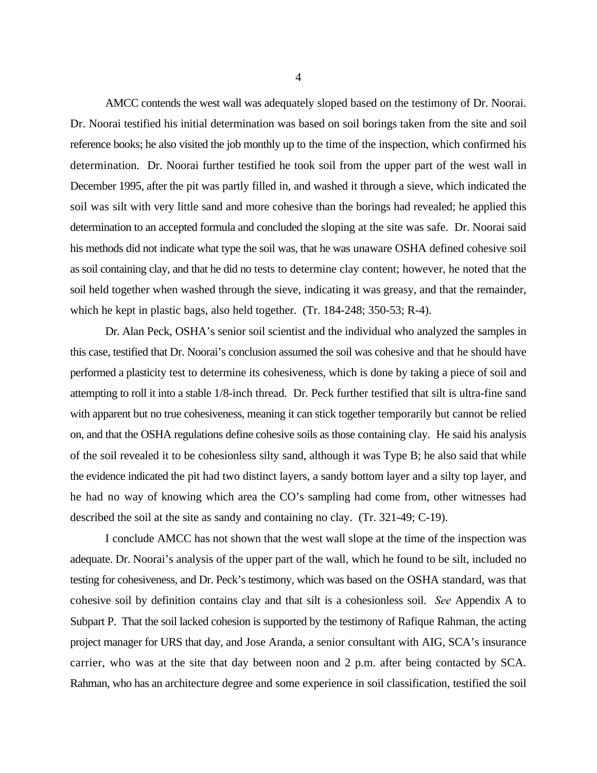AMCC contends the west wall was adequately sloped based on the testimony of Dr. Noorai. Dr. Noorai testified his initial determination was based on soil borings taken from the site and soil reference books; he also visited the job monthly up to the time of the inspection, which confirmed his determination. Dr. Noorai further testified he took soil from the upper part of the west wall in December 1995, after the pit was partly filled in, and washed it through a sieve, which indicated the soil was silt with very little sand and more cohesive than the borings had revealed; he applied this determination to an accepted formula and concluded the sloping at the site was safe. Dr. Noorai said his methods did not indicate what type the soil was, that he was unaware OSHA defined cohesive soil as soil containing clay, and that he did no tests to determine clay content; however, he noted that the soil held together when washed through the sieve, indicating it was greasy, and that the remainder, which he kept in plastic bags, also held together. (Tr. 184-248; 350-53; R-4).

Dr. Alan Peck, OSHA's senior soil scientist and the individual who analyzed the samples in this case, testified that Dr. Noorai's conclusion assumed the soil was cohesive and that he should have performed a plasticity test to determine its cohesiveness, which is done by taking a piece of soil and attempting to roll it into a stable 1/8-inch thread. Dr. Peck further testified that silt is ultra-fine sand with apparent but no true cohesiveness, meaning it can stick together temporarily but cannot be relied on, and that the OSHA regulations define cohesive soils as those containing clay. He said his analysis of the soil revealed it to be cohesionless silty sand, although it was Type B; he also said that while the evidence indicated the pit had two distinct layers, a sandy bottom layer and a silty top layer, and he had no way of knowing which area the CO's sampling had come from, other witnesses had described the soil at the site as sandy and containing no clay. (Tr. 321-49; C-19).

I conclude AMCC has not shown that the west wall slope at the time of the inspection was adequate. Dr. Noorai's analysis of the upper part of the wall, which he found to be silt, included no testing for cohesiveness, and Dr. Peck's testimony, which was based on the OSHA standard, was that cohesive soil by definition contains clay and that silt is a cohesionless soil. *See* Appendix A to Subpart P. That the soil lacked cohesion is supported by the testimony of Rafique Rahman, the acting project manager for URS that day, and Jose Aranda, a senior consultant with AIG, SCA's insurance carrier, who was at the site that day between noon and 2 p.m. after being contacted by SCA. Rahman, who has an architecture degree and some experience in soil classification, testified the soil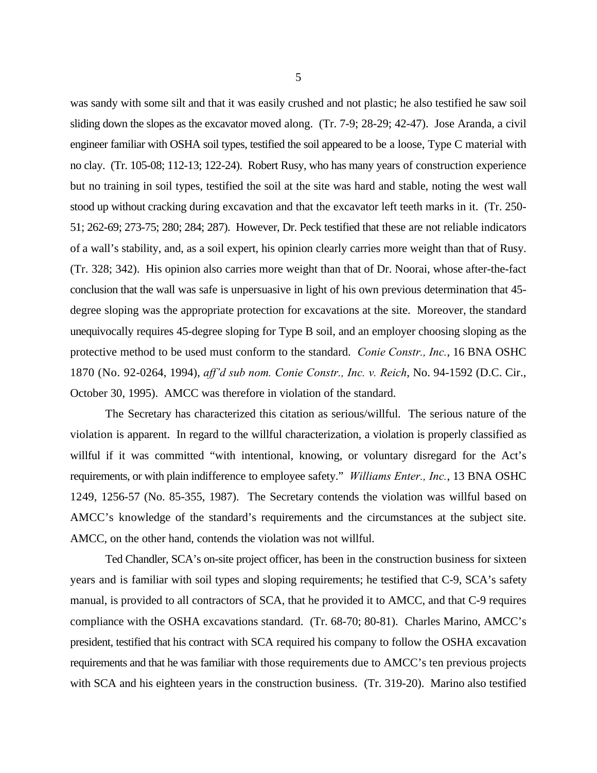was sandy with some silt and that it was easily crushed and not plastic; he also testified he saw soil sliding down the slopes as the excavator moved along. (Tr. 7-9; 28-29; 42-47). Jose Aranda, a civil engineer familiar with OSHA soil types, testified the soil appeared to be a loose, Type C material with no clay. (Tr. 105-08; 112-13; 122-24). Robert Rusy, who has many years of construction experience but no training in soil types, testified the soil at the site was hard and stable, noting the west wall stood up without cracking during excavation and that the excavator left teeth marks in it. (Tr. 250- 51; 262-69; 273-75; 280; 284; 287). However, Dr. Peck testified that these are not reliable indicators of a wall's stability, and, as a soil expert, his opinion clearly carries more weight than that of Rusy. (Tr. 328; 342). His opinion also carries more weight than that of Dr. Noorai, whose after-the-fact conclusion that the wall was safe is unpersuasive in light of his own previous determination that 45 degree sloping was the appropriate protection for excavations at the site. Moreover, the standard unequivocally requires 45-degree sloping for Type B soil, and an employer choosing sloping as the protective method to be used must conform to the standard. *Conie Constr., Inc.*, 16 BNA OSHC 1870 (No. 92-0264, 1994), *aff'd sub nom. Conie Constr., Inc. v. Reich*, No. 94-1592 (D.C. Cir., October 30, 1995). AMCC was therefore in violation of the standard.

The Secretary has characterized this citation as serious/willful. The serious nature of the violation is apparent. In regard to the willful characterization, a violation is properly classified as willful if it was committed "with intentional, knowing, or voluntary disregard for the Act's requirements, or with plain indifference to employee safety." *Williams Enter., Inc.*, 13 BNA OSHC 1249, 1256-57 (No. 85-355, 1987). The Secretary contends the violation was willful based on AMCC's knowledge of the standard's requirements and the circumstances at the subject site. AMCC, on the other hand, contends the violation was not willful.

Ted Chandler, SCA's on-site project officer, has been in the construction business for sixteen years and is familiar with soil types and sloping requirements; he testified that C-9, SCA's safety manual, is provided to all contractors of SCA, that he provided it to AMCC, and that C-9 requires compliance with the OSHA excavations standard. (Tr. 68-70; 80-81). Charles Marino, AMCC's president, testified that his contract with SCA required his company to follow the OSHA excavation requirements and that he was familiar with those requirements due to AMCC's ten previous projects with SCA and his eighteen years in the construction business. (Tr. 319-20). Marino also testified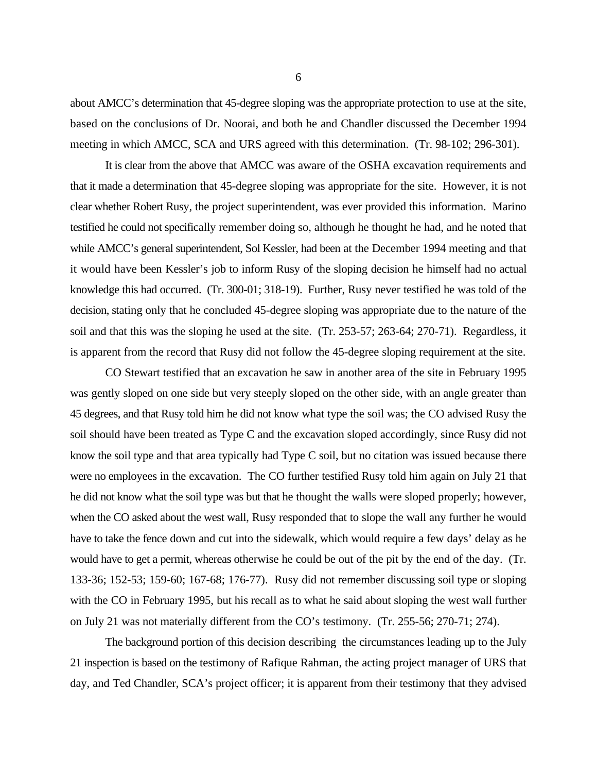about AMCC's determination that 45-degree sloping was the appropriate protection to use at the site, based on the conclusions of Dr. Noorai, and both he and Chandler discussed the December 1994 meeting in which AMCC, SCA and URS agreed with this determination. (Tr. 98-102; 296-301).

It is clear from the above that AMCC was aware of the OSHA excavation requirements and that it made a determination that 45-degree sloping was appropriate for the site. However, it is not clear whether Robert Rusy, the project superintendent, was ever provided this information. Marino testified he could not specifically remember doing so, although he thought he had, and he noted that while AMCC's general superintendent, Sol Kessler, had been at the December 1994 meeting and that it would have been Kessler's job to inform Rusy of the sloping decision he himself had no actual knowledge this had occurred. (Tr. 300-01; 318-19). Further, Rusy never testified he was told of the decision, stating only that he concluded 45-degree sloping was appropriate due to the nature of the soil and that this was the sloping he used at the site. (Tr. 253-57; 263-64; 270-71). Regardless, it is apparent from the record that Rusy did not follow the 45-degree sloping requirement at the site.

CO Stewart testified that an excavation he saw in another area of the site in February 1995 was gently sloped on one side but very steeply sloped on the other side, with an angle greater than 45 degrees, and that Rusy told him he did not know what type the soil was; the CO advised Rusy the soil should have been treated as Type C and the excavation sloped accordingly, since Rusy did not know the soil type and that area typically had Type C soil, but no citation was issued because there were no employees in the excavation. The CO further testified Rusy told him again on July 21 that he did not know what the soil type was but that he thought the walls were sloped properly; however, when the CO asked about the west wall, Rusy responded that to slope the wall any further he would have to take the fence down and cut into the sidewalk, which would require a few days' delay as he would have to get a permit, whereas otherwise he could be out of the pit by the end of the day. (Tr. 133-36; 152-53; 159-60; 167-68; 176-77). Rusy did not remember discussing soil type or sloping with the CO in February 1995, but his recall as to what he said about sloping the west wall further on July 21 was not materially different from the CO's testimony. (Tr. 255-56; 270-71; 274).

The background portion of this decision describing the circumstances leading up to the July 21 inspection is based on the testimony of Rafique Rahman, the acting project manager of URS that day, and Ted Chandler, SCA's project officer; it is apparent from their testimony that they advised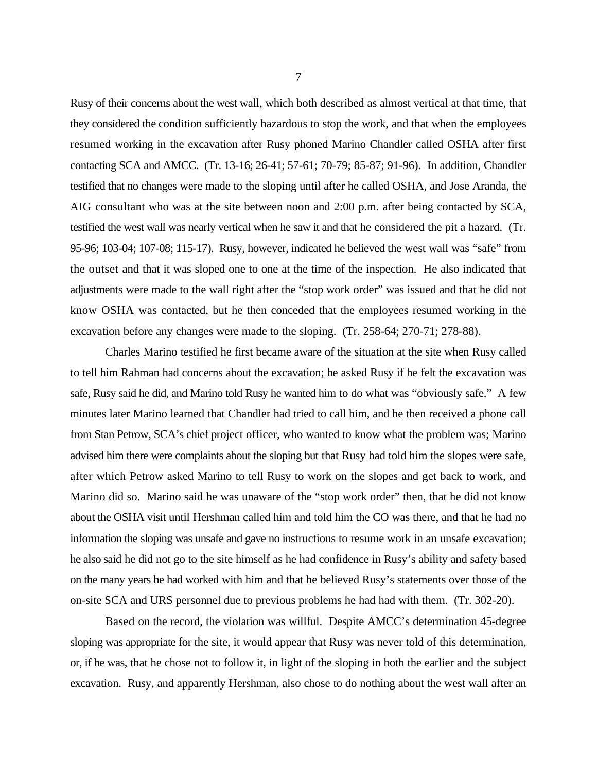Rusy of their concerns about the west wall, which both described as almost vertical at that time, that they considered the condition sufficiently hazardous to stop the work, and that when the employees resumed working in the excavation after Rusy phoned Marino Chandler called OSHA after first contacting SCA and AMCC. (Tr. 13-16; 26-41; 57-61; 70-79; 85-87; 91-96). In addition, Chandler testified that no changes were made to the sloping until after he called OSHA, and Jose Aranda, the AIG consultant who was at the site between noon and 2:00 p.m. after being contacted by SCA, testified the west wall was nearly vertical when he saw it and that he considered the pit a hazard. (Tr. 95-96; 103-04; 107-08; 115-17). Rusy, however, indicated he believed the west wall was "safe" from the outset and that it was sloped one to one at the time of the inspection. He also indicated that adjustments were made to the wall right after the "stop work order" was issued and that he did not know OSHA was contacted, but he then conceded that the employees resumed working in the excavation before any changes were made to the sloping. (Tr. 258-64; 270-71; 278-88).

Charles Marino testified he first became aware of the situation at the site when Rusy called to tell him Rahman had concerns about the excavation; he asked Rusy if he felt the excavation was safe, Rusy said he did, and Marino told Rusy he wanted him to do what was "obviously safe." A few minutes later Marino learned that Chandler had tried to call him, and he then received a phone call from Stan Petrow, SCA's chief project officer, who wanted to know what the problem was; Marino advised him there were complaints about the sloping but that Rusy had told him the slopes were safe, after which Petrow asked Marino to tell Rusy to work on the slopes and get back to work, and Marino did so. Marino said he was unaware of the "stop work order" then, that he did not know about the OSHA visit until Hershman called him and told him the CO was there, and that he had no information the sloping was unsafe and gave no instructions to resume work in an unsafe excavation; he also said he did not go to the site himself as he had confidence in Rusy's ability and safety based on the many years he had worked with him and that he believed Rusy's statements over those of the on-site SCA and URS personnel due to previous problems he had had with them. (Tr. 302-20).

Based on the record, the violation was willful. Despite AMCC's determination 45-degree sloping was appropriate for the site, it would appear that Rusy was never told of this determination, or, if he was, that he chose not to follow it, in light of the sloping in both the earlier and the subject excavation. Rusy, and apparently Hershman, also chose to do nothing about the west wall after an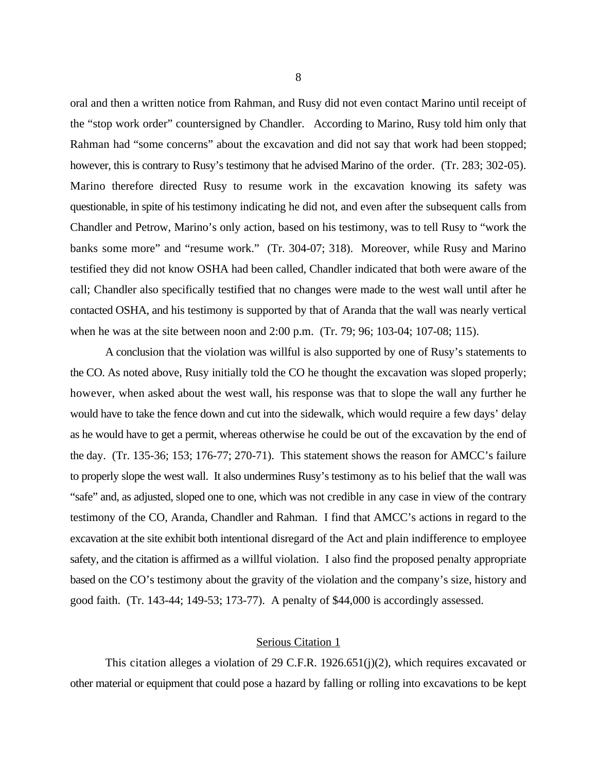oral and then a written notice from Rahman, and Rusy did not even contact Marino until receipt of the "stop work order" countersigned by Chandler. According to Marino, Rusy told him only that Rahman had "some concerns" about the excavation and did not say that work had been stopped; however, this is contrary to Rusy's testimony that he advised Marino of the order. (Tr. 283; 302-05). Marino therefore directed Rusy to resume work in the excavation knowing its safety was questionable, in spite of his testimony indicating he did not, and even after the subsequent calls from Chandler and Petrow, Marino's only action, based on his testimony, was to tell Rusy to "work the banks some more" and "resume work." (Tr. 304-07; 318). Moreover, while Rusy and Marino testified they did not know OSHA had been called, Chandler indicated that both were aware of the call; Chandler also specifically testified that no changes were made to the west wall until after he contacted OSHA, and his testimony is supported by that of Aranda that the wall was nearly vertical when he was at the site between noon and 2:00 p.m. (Tr. 79; 96; 103-04; 107-08; 115).

A conclusion that the violation was willful is also supported by one of Rusy's statements to the CO. As noted above, Rusy initially told the CO he thought the excavation was sloped properly; however, when asked about the west wall, his response was that to slope the wall any further he would have to take the fence down and cut into the sidewalk, which would require a few days' delay as he would have to get a permit, whereas otherwise he could be out of the excavation by the end of the day. (Tr. 135-36; 153; 176-77; 270-71). This statement shows the reason for AMCC's failure to properly slope the west wall. It also undermines Rusy's testimony as to his belief that the wall was "safe" and, as adjusted, sloped one to one, which was not credible in any case in view of the contrary testimony of the CO, Aranda, Chandler and Rahman. I find that AMCC's actions in regard to the excavation at the site exhibit both intentional disregard of the Act and plain indifference to employee safety, and the citation is affirmed as a willful violation. I also find the proposed penalty appropriate based on the CO's testimony about the gravity of the violation and the company's size, history and good faith. (Tr. 143-44; 149-53; 173-77). A penalty of \$44,000 is accordingly assessed.

### Serious Citation 1

This citation alleges a violation of 29 C.F.R. 1926.651(j)(2), which requires excavated or other material or equipment that could pose a hazard by falling or rolling into excavations to be kept